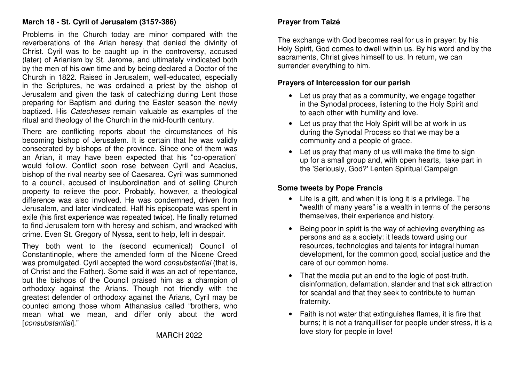## **March 18 - St. Cyril of Jerusalem (315?-386)**

Problems in the Church today are minor compared with the reverberations of the Arian heresy that denied the divinity of Christ. Cyril was to be caught up in the controversy, accused (later) of Arianism by St. Jerome, and ultimately vindicated both by the men of his own time and by being declared a Doctor of the Church in 1822. Raised in Jerusalem, well-educated, especially in the Scriptures, he was ordained a priest by the bishop of Jerusalem and given the task of catechizing during Lent those preparing for Baptism and during the Easter season the newly baptized. His Catecheses remain valuable as examples of the ritual and theology of the Church in the mid-fourth century.

There are conflicting reports about the circumstances of his becoming bishop of Jerusalem. It is certain that he was validly consecrated by bishops of the province. Since one of them was an Arian, it may have been expected that his "co-operation" would follow. Conflict soon rose between Cyril and Acacius, bishop of the rival nearby see of Caesarea. Cyril was summoned to a council, accused of insubordination and of selling Church property to relieve the poor. Probably, however, a theological difference was also involved. He was condemned, driven from Jerusalem, and later vindicated. Half his episcopate was spent in exile (his first experience was repeated twice). He finally returned to find Jerusalem torn with heresy and schism, and wracked with crime. Even St. Gregory of Nyssa, sent to help, left in despair.

They both went to the (second ecumenical) Council of Constantinople, where the amended form of the Nicene Creed was promulgated. Cyril accepted the word consubstantial (that is, of Christ and the Father). Some said it was an act of repentance, but the bishops of the Council praised him as a champion of orthodoxy against the Arians. Though not friendly with the greatest defender of orthodoxy against the Arians, Cyril may be counted among those whom Athanasius called "brothers, who mean what we mean, and differ only about the word [consubstantial]."

# **Prayer from Taizé**

The exchange with God becomes real for us in prayer: by his Holy Spirit, God comes to dwell within us. By his word and by the sacraments, Christ gives himself to us. In return, we can surrender everything to him.

#### **Prayers of Intercession for our parish**

- Let us pray that as a community, we engage together in the Synodal process, listening to the Holy Spirit and to each other with humility and love.
- Let us pray that the Holy Spirit will be at work in us during the Synodal Process so that we may be a community and a people of grace.
- Let us pray that many of us will make the time to sign up for a small group and, with open hearts, take part in the 'Seriously, God?' Lenten Spiritual Campaign

# **Some tweets by Pope Francis**

- Life is a gift, and when it is long it is a privilege. The "wealth of many years" is a wealth in terms of the persons themselves, their experience and history.
- Being poor in spirit is the way of achieving everything as persons and as a society: it leads toward using our resources, technologies and talents for integral human development, for the common good, social justice and the care of our common home.
- That the media put an end to the logic of post-truth, disinformation, defamation, slander and that sick attraction for scandal and that they seek to contribute to human fraternity.
- Faith is not water that extinguishes flames, it is fire that burns; it is not a tranquilliser for people under stress, it is a love story for people in love!

### MARCH 2022